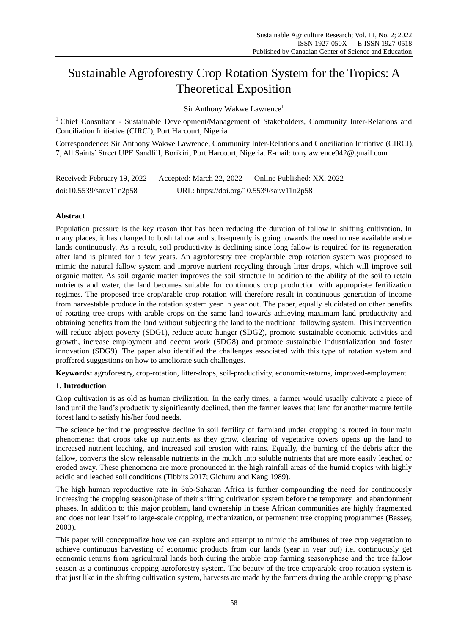# Sustainable Agroforestry Crop Rotation System for the Tropics: A Theoretical Exposition

Sir Anthony Wakwe Lawrence<sup>1</sup>

 $1$  Chief Consultant - Sustainable Development/Management of Stakeholders, Community Inter-Relations and Conciliation Initiative (CIRCI), Port Harcourt, Nigeria

Correspondence: Sir Anthony Wakwe Lawrence, Community Inter-Relations and Conciliation Initiative (CIRCI), 7, All Saints' Street UPE Sandfill, Borikiri, Port Harcourt, Nigeria. E-mail: tonylawrence942@gmail.com

Received: February 19, 2022 Accepted: March 22, 2022 Online Published: XX, 2022 doi:10.5539/sar.v11n2p58 URL: https://doi.org/10.5539/sar.v11n2p58

# **Abstract**

Population pressure is the key reason that has been reducing the duration of fallow in shifting cultivation. In many places, it has changed to bush fallow and subsequently is going towards the need to use available arable lands continuously. As a result, soil productivity is declining since long fallow is required for its regeneration after land is planted for a few years. An agroforestry tree crop/arable crop rotation system was proposed to mimic the natural fallow system and improve nutrient recycling through litter drops, which will improve soil organic matter. As soil organic matter improves the soil structure in addition to the ability of the soil to retain nutrients and water, the land becomes suitable for continuous crop production with appropriate fertilization regimes. The proposed tree crop/arable crop rotation will therefore result in continuous generation of income from harvestable produce in the rotation system year in year out. The paper, equally elucidated on other benefits of rotating tree crops with arable crops on the same land towards achieving maximum land productivity and obtaining benefits from the land without subjecting the land to the traditional fallowing system. This intervention will reduce abject poverty (SDG1), reduce acute hunger (SDG2), promote sustainable economic activities and growth, increase employment and decent work (SDG8) and promote sustainable industrialization and foster innovation (SDG9). The paper also identified the challenges associated with this type of rotation system and proffered suggestions on how to ameliorate such challenges.

**Keywords:** agroforestry, crop-rotation, litter-drops, soil-productivity, economic-returns, improved-employment

# **1. Introduction**

Crop cultivation is as old as human civilization. In the early times, a farmer would usually cultivate a piece of land until the land's productivity significantly declined, then the farmer leaves that land for another mature fertile forest land to satisfy his/her food needs.

The science behind the progressive decline in soil fertility of farmland under cropping is routed in four main phenomena: that crops take up nutrients as they grow, clearing of vegetative covers opens up the land to increased nutrient leaching, and increased soil erosion with rains. Equally, the burning of the debris after the fallow, converts the slow releasable nutrients in the mulch into soluble nutrients that are more easily leached or eroded away. These phenomena are more pronounced in the high rainfall areas of the humid tropics with highly acidic and leached soil conditions (Tibbits 2017; Gichuru and Kang 1989).

The high human reproductive rate in Sub-Saharan Africa is further compounding the need for continuously increasing the cropping season/phase of their shifting cultivation system before the temporary land abandonment phases. In addition to this major problem, land ownership in these African communities are highly fragmented and does not lean itself to large-scale cropping, mechanization, or permanent tree cropping programmes (Bassey, 2003).

This paper will conceptualize how we can explore and attempt to mimic the attributes of tree crop vegetation to achieve continuous harvesting of economic products from our lands (year in year out) i.e. continuously get economic returns from agricultural lands both during the arable crop farming season/phase and the tree fallow season as a continuous cropping agroforestry system. The beauty of the tree crop/arable crop rotation system is that just like in the shifting cultivation system, harvests are made by the farmers during the arable cropping phase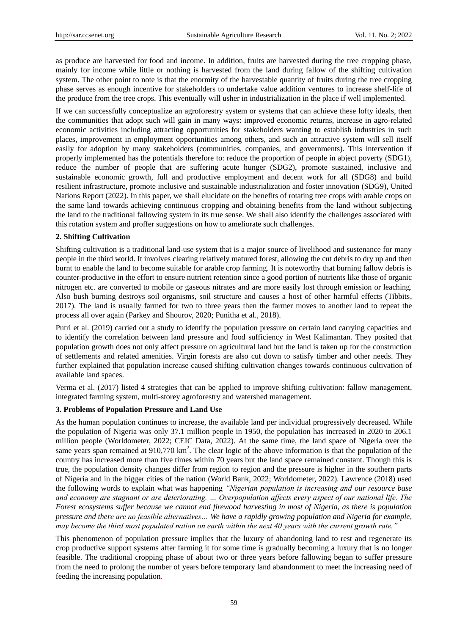as produce are harvested for food and income. In addition, fruits are harvested during the tree cropping phase, mainly for income while little or nothing is harvested from the land during fallow of the shifting cultivation system. The other point to note is that the enormity of the harvestable quantity of fruits during the tree cropping phase serves as enough incentive for stakeholders to undertake value addition ventures to increase shelf-life of the produce from the tree crops. This eventually will usher in industrialization in the place if well implemented.

If we can successfully conceptualize an agroforestry system or systems that can achieve these lofty ideals, then the communities that adopt such will gain in many ways: improved economic returns, increase in agro-related economic activities including attracting opportunities for stakeholders wanting to establish industries in such places, improvement in employment opportunities among others, and such an attractive system will sell itself easily for adoption by many stakeholders (communities, companies, and governments). This intervention if properly implemented has the potentials therefore to: reduce the proportion of people in abject poverty (SDG1), reduce the number of people that are suffering acute hunger (SDG2), promote sustained, inclusive and sustainable economic growth, full and productive employment and decent work for all (SDG8) and build resilient infrastructure, promote inclusive and sustainable industrialization and foster innovation (SDG9), United Nations Report (2022). In this paper, we shall elucidate on the benefits of rotating tree crops with arable crops on the same land towards achieving continuous cropping and obtaining benefits from the land without subjecting the land to the traditional fallowing system in its true sense. We shall also identify the challenges associated with this rotation system and proffer suggestions on how to ameliorate such challenges.

# **2. Shifting Cultivation**

Shifting cultivation is a traditional land-use system that is a major source of livelihood and sustenance for many people in the third world. It involves clearing relatively matured forest, allowing the cut debris to dry up and then burnt to enable the land to become suitable for arable crop farming. It is noteworthy that burning fallow debris is counter-productive in the effort to ensure nutrient retention since a good portion of nutrients like those of organic nitrogen etc. are converted to mobile or gaseous nitrates and are more easily lost through emission or leaching. Also bush burning destroys soil organisms, soil structure and causes a host of other harmful effects (Tibbits, 2017). The land is usually farmed for two to three years then the farmer moves to another land to repeat the process all over again (Parkey and Shourov, 2020; Punitha et al., 2018).

Putri et al. (2019) carried out a study to identify the population pressure on certain land carrying capacities and to identify the correlation between land pressure and food sufficiency in West Kalimantan. They posited that population growth does not only affect pressure on agricultural land but the land is taken up for the construction of settlements and related amenities. Virgin forests are also cut down to satisfy timber and other needs. They further explained that population increase caused shifting cultivation changes towards continuous cultivation of available land spaces.

Verma et al. (2017) listed 4 strategies that can be applied to improve shifting cultivation: fallow management, integrated farming system, multi-storey agroforestry and watershed management.

# **3. Problems of Population Pressure and Land Use**

As the human population continues to increase, the available land per individual progressively decreased. While the population of Nigeria was only 37.1 million people in 1950, the population has increased in 2020 to 206.1 million people (Worldometer, 2022; CEIC Data, 2022). At the same time, the land space of Nigeria over the same years span remained at  $910,770 \text{ km}^2$ . The clear logic of the above information is that the population of the country has increased more than five times within 70 years but the land space remained constant. Though this is true, the population density changes differ from region to region and the pressure is higher in the southern parts of Nigeria and in the bigger cities of the nation (World Bank, 2022; Worldometer, 2022). Lawrence (2018) used the following words to explain what was happening *"Nigerian population is increasing and our resource base and economy are stagnant or are deteriorating. … Overpopulation affects every aspect of our national life. The Forest ecosystems suffer because we cannot end firewood harvesting in most of Nigeria, as there is population pressure and there are no feasible alternatives… We have a rapidly growing population and Nigeria for example, may become the third most populated nation on earth within the next 40 years with the current growth rate."* 

This phenomenon of population pressure implies that the luxury of abandoning land to rest and regenerate its crop productive support systems after farming it for some time is gradually becoming a luxury that is no longer feasible. The traditional cropping phase of about two or three years before fallowing began to suffer pressure from the need to prolong the number of years before temporary land abandonment to meet the increasing need of feeding the increasing population.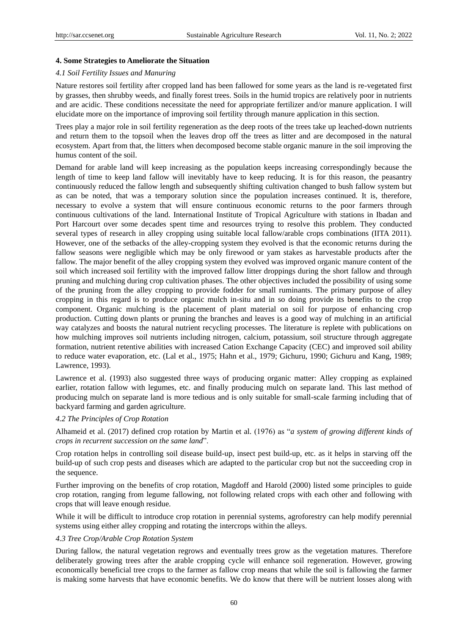## **4. Some Strategies to Ameliorate the Situation**

#### *4.1 Soil Fertility Issues and Manuring*

Nature restores soil fertility after cropped land has been fallowed for some years as the land is re-vegetated first by grasses, then shrubby weeds, and finally forest trees. Soils in the humid tropics are relatively poor in nutrients and are acidic. These conditions necessitate the need for appropriate fertilizer and/or manure application. I will elucidate more on the importance of improving soil fertility through manure application in this section.

Trees play a major role in soil fertility regeneration as the deep roots of the trees take up leached-down nutrients and return them to the topsoil when the leaves drop off the trees as litter and are decomposed in the natural ecosystem. Apart from that, the litters when decomposed become stable organic manure in the soil improving the humus content of the soil.

Demand for arable land will keep increasing as the population keeps increasing correspondingly because the length of time to keep land fallow will inevitably have to keep reducing. It is for this reason, the peasantry continuously reduced the fallow length and subsequently shifting cultivation changed to bush fallow system but as can be noted, that was a temporary solution since the population increases continued. It is, therefore, necessary to evolve a system that will ensure continuous economic returns to the poor farmers through continuous cultivations of the land. International Institute of Tropical Agriculture with stations in Ibadan and Port Harcourt over some decades spent time and resources trying to resolve this problem. They conducted several types of research in alley cropping using suitable local fallow/arable crops combinations (IITA 2011). However, one of the setbacks of the alley-cropping system they evolved is that the economic returns during the fallow seasons were negligible which may be only firewood or yam stakes as harvestable products after the fallow. The major benefit of the alley cropping system they evolved was improved organic manure content of the soil which increased soil fertility with the improved fallow litter droppings during the short fallow and through pruning and mulching during crop cultivation phases. The other objectives included the possibility of using some of the pruning from the alley cropping to provide fodder for small ruminants. The primary purpose of alley cropping in this regard is to produce organic mulch in-situ and in so doing provide its benefits to the crop component. Organic mulching is the placement of plant material on soil for purpose of enhancing crop production. Cutting down plants or pruning the branches and leaves is a good way of mulching in an artificial way catalyzes and boosts the natural nutrient recycling processes. The literature is replete with publications on how mulching improves soil nutrients including nitrogen, calcium, potassium, soil structure through aggregate formation, nutrient retentive abilities with increased Cation Exchange Capacity (CEC) and improved soil ability to reduce water evaporation, etc. (Lal et al., 1975; Hahn et al., 1979; Gichuru, 1990; Gichuru and Kang, 1989; Lawrence, 1993).

Lawrence et al. (1993) also suggested three ways of producing organic matter: Alley cropping as explained earlier, rotation fallow with legumes, etc. and finally producing mulch on separate land. This last method of producing mulch on separate land is more tedious and is only suitable for small-scale farming including that of backyard farming and garden agriculture.

#### *4.2 The Principles of Crop Rotation*

Alhameid et al. (2017) defined crop rotation by Martin et al. (1976) as "*a system of growing different kinds of crops in recurrent succession on the same land*".

Crop rotation helps in controlling soil disease build-up, insect pest build-up, etc. as it helps in starving off the build-up of such crop pests and diseases which are adapted to the particular crop but not the succeeding crop in the sequence.

Further improving on the benefits of crop rotation, Magdoff and Harold (2000) listed some principles to guide crop rotation, ranging from legume fallowing, not following related crops with each other and following with crops that will leave enough residue.

While it will be difficult to introduce crop rotation in perennial systems, agroforestry can help modify perennial systems using either alley cropping and rotating the intercrops within the alleys.

#### *4.3 Tree Crop/Arable Crop Rotation System*

During fallow, the natural vegetation regrows and eventually trees grow as the vegetation matures. Therefore deliberately growing trees after the arable cropping cycle will enhance soil regeneration. However, growing economically beneficial tree crops to the farmer as fallow crop means that while the soil is fallowing the farmer is making some harvests that have economic benefits. We do know that there will be nutrient losses along with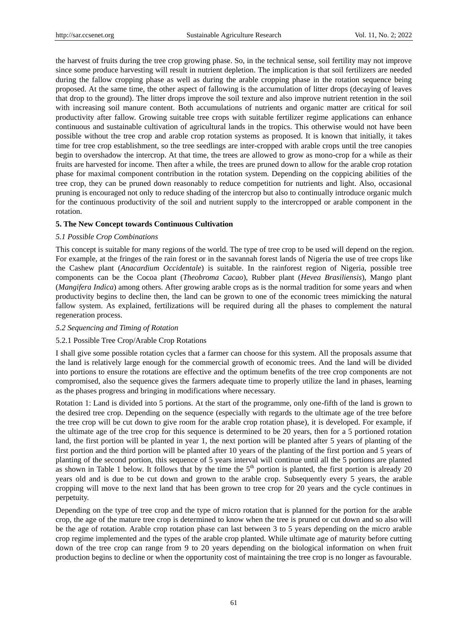the harvest of fruits during the tree crop growing phase. So, in the technical sense, soil fertility may not improve since some produce harvesting will result in nutrient depletion. The implication is that soil fertilizers are needed during the fallow cropping phase as well as during the arable cropping phase in the rotation sequence being proposed. At the same time, the other aspect of fallowing is the accumulation of litter drops (decaying of leaves that drop to the ground). The litter drops improve the soil texture and also improve nutrient retention in the soil with increasing soil manure content. Both accumulations of nutrients and organic matter are critical for soil productivity after fallow. Growing suitable tree crops with suitable fertilizer regime applications can enhance continuous and sustainable cultivation of agricultural lands in the tropics. This otherwise would not have been possible without the tree crop and arable crop rotation systems as proposed. It is known that initially, it takes time for tree crop establishment, so the tree seedlings are inter-cropped with arable crops until the tree canopies begin to overshadow the intercrop. At that time, the trees are allowed to grow as mono-crop for a while as their fruits are harvested for income. Then after a while, the trees are pruned down to allow for the arable crop rotation phase for maximal component contribution in the rotation system. Depending on the coppicing abilities of the tree crop, they can be pruned down reasonably to reduce competition for nutrients and light. Also, occasional pruning is encouraged not only to reduce shading of the intercrop but also to continually introduce organic mulch for the continuous productivity of the soil and nutrient supply to the intercropped or arable component in the rotation.

## **5. The New Concept towards Continuous Cultivation**

## *5.1 Possible Crop Combinations*

This concept is suitable for many regions of the world. The type of tree crop to be used will depend on the region. For example, at the fringes of the rain forest or in the savannah forest lands of Nigeria the use of tree crops like the Cashew plant (*Anacardium Occidentale*) is suitable. In the rainforest region of Nigeria, possible tree components can be the Cocoa plant (*Theobroma Cacao*), Rubber plant (*Hevea Brasiliensis*), Mango plant (*Mangifera Indica*) among others. After growing arable crops as is the normal tradition for some years and when productivity begins to decline then, the land can be grown to one of the economic trees mimicking the natural fallow system. As explained, fertilizations will be required during all the phases to complement the natural regeneration process.

# *5.2 Sequencing and Timing of Rotation*

#### 5.2.1 Possible Tree Crop/Arable Crop Rotations

I shall give some possible rotation cycles that a farmer can choose for this system. All the proposals assume that the land is relatively large enough for the commercial growth of economic trees. And the land will be divided into portions to ensure the rotations are effective and the optimum benefits of the tree crop components are not compromised, also the sequence gives the farmers adequate time to properly utilize the land in phases, learning as the phases progress and bringing in modifications where necessary.

Rotation 1: Land is divided into 5 portions. At the start of the programme, only one-fifth of the land is grown to the desired tree crop. Depending on the sequence (especially with regards to the ultimate age of the tree before the tree crop will be cut down to give room for the arable crop rotation phase), it is developed. For example, if the ultimate age of the tree crop for this sequence is determined to be 20 years, then for a 5 portioned rotation land, the first portion will be planted in year 1, the next portion will be planted after 5 years of planting of the first portion and the third portion will be planted after 10 years of the planting of the first portion and 5 years of planting of the second portion, this sequence of 5 years interval will continue until all the 5 portions are planted as shown in Table 1 below. It follows that by the time the  $5<sup>th</sup>$  portion is planted, the first portion is already 20 years old and is due to be cut down and grown to the arable crop. Subsequently every 5 years, the arable cropping will move to the next land that has been grown to tree crop for 20 years and the cycle continues in perpetuity.

Depending on the type of tree crop and the type of micro rotation that is planned for the portion for the arable crop, the age of the mature tree crop is determined to know when the tree is pruned or cut down and so also will be the age of rotation. Arable crop rotation phase can last between 3 to 5 years depending on the micro arable crop regime implemented and the types of the arable crop planted. While ultimate age of maturity before cutting down of the tree crop can range from 9 to 20 years depending on the biological information on when fruit production begins to decline or when the opportunity cost of maintaining the tree crop is no longer as favourable.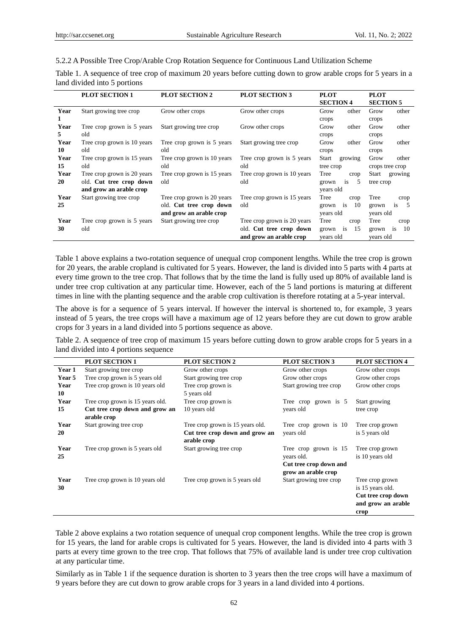| 5.2.2 A Possible Tree Crop/Arable Crop Rotation Sequence for Continuous Land Utilization Scheme |  |  |  |  |  |  |  |  |  |
|-------------------------------------------------------------------------------------------------|--|--|--|--|--|--|--|--|--|
|-------------------------------------------------------------------------------------------------|--|--|--|--|--|--|--|--|--|

Table 1. A sequence of tree crop of maximum 20 years before cutting down to grow arable crops for 5 years in a land divided into 5 portions

|      | <b>PLOT SECTION 1</b>       | <b>PLOT SECTION 2</b>       | <b>PLOT SECTION 3</b>       | <b>PLOT</b>                   | <b>PLOT</b>                   |
|------|-----------------------------|-----------------------------|-----------------------------|-------------------------------|-------------------------------|
|      |                             |                             |                             | <b>SECTION 4</b>              | <b>SECTION 5</b>              |
| Year | Start growing tree crop     | Grow other crops            | Grow other crops            | other<br>Grow                 | Grow<br>other                 |
| 1    |                             |                             |                             | crops                         | crops                         |
| Year | Tree crop grown is 5 years  | Start growing tree crop     | Grow other crops            | Grow<br>other                 | Grow<br>other                 |
| 5.   | old                         |                             |                             | crops                         | crops                         |
| Year | Tree crop grown is 10 years | Tree crop grown is 5 years  | Start growing tree crop     | Grow<br>other                 | Grow<br>other                 |
| 10   | old                         | old                         |                             | crops                         | crops                         |
| Year | Tree crop grown is 15 years | Tree crop grown is 10 years | Tree crop grown is 5 years  | Start<br>growing              | Grow<br>other                 |
| 15   | old                         | old                         | old                         | tree crop                     | crops tree crop               |
| Year | Tree crop grown is 20 years | Tree crop grown is 15 years | Tree crop grown is 10 years | Tree<br>crop                  | Start<br>growing              |
| 20   | old. Cut tree crop down     | old                         | old                         | is<br>5<br>grown              | tree crop                     |
|      | and grow an arable crop     |                             |                             | years old                     |                               |
| Year | Start growing tree crop     | Tree crop grown is 20 years | Tree crop grown is 15 years | Tree<br>crop                  | Tree<br>crop                  |
| 25   |                             | old. Cut tree crop down     | old                         | 10<br>grown<br><sup>1</sup> S | - 5<br>grown<br><sup>is</sup> |
|      |                             | and grow an arable crop     |                             | years old                     | years old                     |
| Year | Tree crop grown is 5 years  | Start growing tree crop     | Tree crop grown is 20 years | Tree<br>crop                  | Tree<br>crop                  |
| 30   | old                         |                             | old. Cut tree crop down     | is<br>15<br>grown             | -10<br>is<br>grown            |
|      |                             |                             | and grow an arable crop     | vears old                     | years old                     |

Table 1 above explains a two-rotation sequence of unequal crop component lengths. While the tree crop is grown for 20 years, the arable cropland is cultivated for 5 years. However, the land is divided into 5 parts with 4 parts at every time grown to the tree crop. That follows that by the time the land is fully used up 80% of available land is under tree crop cultivation at any particular time. However, each of the 5 land portions is maturing at different times in line with the planting sequence and the arable crop cultivation is therefore rotating at a 5-year interval.

The above is for a sequence of 5 years interval. If however the interval is shortened to, for example, 3 years instead of 5 years, the tree crops will have a maximum age of 12 years before they are cut down to grow arable crops for 3 years in a land divided into 5 portions sequence as above.

Table 2. A sequence of tree crop of maximum 15 years before cutting down to grow arable crops for 5 years in a land divided into 4 portions sequence

|               | <b>PLOT SECTION 1</b>            | <b>PLOT SECTION 2</b>            | <b>PLOT SECTION 3</b>   | <b>PLOT SECTION 4</b> |
|---------------|----------------------------------|----------------------------------|-------------------------|-----------------------|
| Year 1        | Start growing tree crop          | Grow other crops                 | Grow other crops        | Grow other crops      |
| <b>Year 5</b> | Tree crop grown is 5 years old   | Start growing tree crop          | Grow other crops        | Grow other crops      |
| Year          | Tree crop grown is 10 years old  | Tree crop grown is               | Start growing tree crop | Grow other crops      |
| 10            |                                  | 5 years old                      |                         |                       |
| Year          | Tree crop grown is 15 years old. | Tree crop grown is               | Tree crop grown is 5    | Start growing         |
| 15            | Cut tree crop down and grow an   | 10 years old                     | years old               | tree crop             |
|               | arable crop                      |                                  |                         |                       |
| Year          | Start growing tree crop          | Tree crop grown is 15 years old. | Tree crop grown is 10   | Tree crop grown       |
| 20            |                                  | Cut tree crop down and grow an   | years old               | is 5 years old        |
|               |                                  | arable crop                      |                         |                       |
| Year          | Tree crop grown is 5 years old   | Start growing tree crop          | Tree crop grown is 15   | Tree crop grown       |
| 25            |                                  |                                  | years old.              | is 10 years old       |
|               |                                  |                                  | Cut tree crop down and  |                       |
|               |                                  |                                  | grow an arable crop     |                       |
| Year          | Tree crop grown is 10 years old  | Tree crop grown is 5 years old   | Start growing tree crop | Tree crop grown       |
| 30            |                                  |                                  |                         | is 15 years old.      |
|               |                                  |                                  |                         | Cut tree crop down    |
|               |                                  |                                  |                         | and grow an arable    |
|               |                                  |                                  |                         | crop                  |

Table 2 above explains a two rotation sequence of unequal crop component lengths. While the tree crop is grown for 15 years, the land for arable crops is cultivated for 5 years. However, the land is divided into 4 parts with 3 parts at every time grown to the tree crop. That follows that 75% of available land is under tree crop cultivation at any particular time.

Similarly as in Table 1 if the sequence duration is shorten to 3 years then the tree crops will have a maximum of 9 years before they are cut down to grow arable crops for 3 years in a land divided into 4 portions.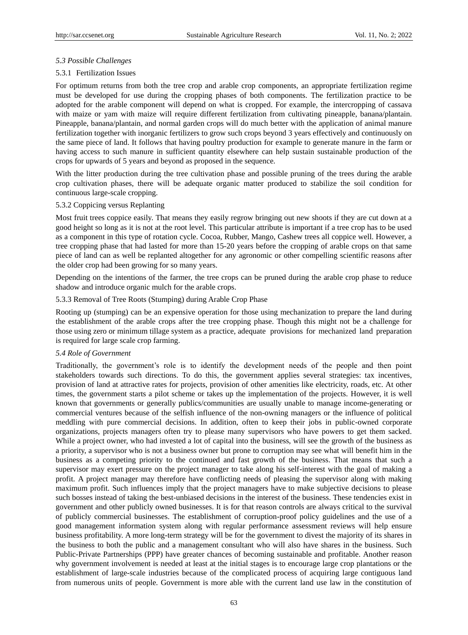# *5.3 Possible Challenges*

## 5.3.1 Fertilization Issues

For optimum returns from both the tree crop and arable crop components, an appropriate fertilization regime must be developed for use during the cropping phases of both components. The fertilization practice to be adopted for the arable component will depend on what is cropped. For example, the intercropping of cassava with maize or yam with maize will require different fertilization from cultivating pineapple, banana/plantain. Pineapple, banana/plantain, and normal garden crops will do much better with the application of animal manure fertilization together with inorganic fertilizers to grow such crops beyond 3 years effectively and continuously on the same piece of land. It follows that having poultry production for example to generate manure in the farm or having access to such manure in sufficient quantity elsewhere can help sustain sustainable production of the crops for upwards of 5 years and beyond as proposed in the sequence.

With the litter production during the tree cultivation phase and possible pruning of the trees during the arable crop cultivation phases, there will be adequate organic matter produced to stabilize the soil condition for continuous large-scale cropping.

## 5.3.2 Coppicing versus Replanting

Most fruit trees coppice easily. That means they easily regrow bringing out new shoots if they are cut down at a good height so long as it is not at the root level. This particular attribute is important if a tree crop has to be used as a component in this type of rotation cycle. Cocoa, Rubber, Mango, Cashew trees all coppice well. However, a tree cropping phase that had lasted for more than 15-20 years before the cropping of arable crops on that same piece of land can as well be replanted altogether for any agronomic or other compelling scientific reasons after the older crop had been growing for so many years.

Depending on the intentions of the farmer, the tree crops can be pruned during the arable crop phase to reduce shadow and introduce organic mulch for the arable crops.

#### 5.3.3 Removal of Tree Roots (Stumping) during Arable Crop Phase

Rooting up (stumping) can be an expensive operation for those using mechanization to prepare the land during the establishment of the arable crops after the tree cropping phase. Though this might not be a challenge for those using zero or minimum tillage system as a practice, adequate provisions for mechanized land preparation is required for large scale crop farming.

#### *5.4 Role of Government*

Traditionally, the government's role is to identify the development needs of the people and then point stakeholders towards such directions. To do this, the government applies several strategies: tax incentives, provision of land at attractive rates for projects, provision of other amenities like electricity, roads, etc. At other times, the government starts a pilot scheme or takes up the implementation of the projects. However, it is well known that governments or generally publics/communities are usually unable to manage income-generating or commercial ventures because of the selfish influence of the non-owning managers or the influence of political meddling with pure commercial decisions. In addition, often to keep their jobs in public-owned corporate organizations, projects managers often try to please many supervisors who have powers to get them sacked. While a project owner, who had invested a lot of capital into the business, will see the growth of the business as a priority, a supervisor who is not a business owner but prone to corruption may see what will benefit him in the business as a competing priority to the continued and fast growth of the business. That means that such a supervisor may exert pressure on the project manager to take along his self-interest with the goal of making a profit. A project manager may therefore have conflicting needs of pleasing the supervisor along with making maximum profit. Such influences imply that the project managers have to make subjective decisions to please such bosses instead of taking the best-unbiased decisions in the interest of the business. These tendencies exist in government and other publicly owned businesses. It is for that reason controls are always critical to the survival of publicly commercial businesses. The establishment of corruption-proof policy guidelines and the use of a good management information system along with regular performance assessment reviews will help ensure business profitability. A more long-term strategy will be for the government to divest the majority of its shares in the business to both the public and a management consultant who will also have shares in the business. Such Public-Private Partnerships (PPP) have greater chances of becoming sustainable and profitable. Another reason why government involvement is needed at least at the initial stages is to encourage large crop plantations or the establishment of large-scale industries because of the complicated process of acquiring large contiguous land from numerous units of people. Government is more able with the current land use law in the constitution of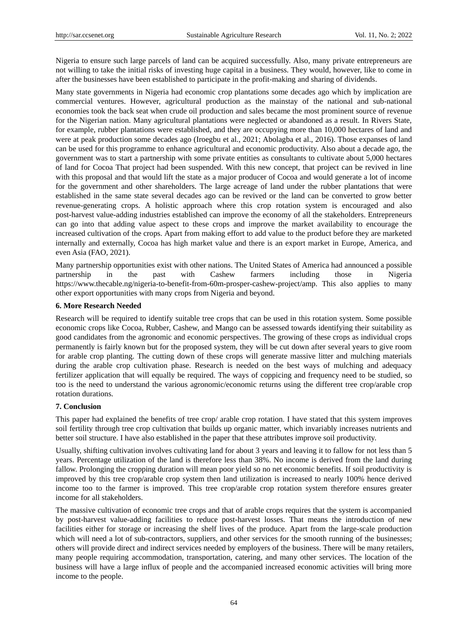Nigeria to ensure such large parcels of land can be acquired successfully. Also, many private entrepreneurs are not willing to take the initial risks of investing huge capital in a business. They would, however, like to come in after the businesses have been established to participate in the profit-making and sharing of dividends.

Many state governments in Nigeria had economic crop plantations some decades ago which by implication are commercial ventures. However, agricultural production as the mainstay of the national and sub-national economies took the back seat when crude oil production and sales became the most prominent source of revenue for the Nigerian nation. Many agricultural plantations were neglected or abandoned as a result. In Rivers State, for example, rubber plantations were established, and they are occupying more than 10,000 hectares of land and were at peak production some decades ago (Iroegbu et al., 2021; Abolagba et al., 2016). Those expanses of land can be used for this programme to enhance agricultural and economic productivity. Also about a decade ago, the government was to start a partnership with some private entities as consultants to cultivate about 5,000 hectares of land for Cocoa That project had been suspended. With this new concept, that project can be revived in line with this proposal and that would lift the state as a major producer of Cocoa and would generate a lot of income for the government and other shareholders. The large acreage of land under the rubber plantations that were established in the same state several decades ago can be revived or the land can be converted to grow better revenue-generating crops. A holistic approach where this crop rotation system is encouraged and also post-harvest value-adding industries established can improve the economy of all the stakeholders. Entrepreneurs can go into that adding value aspect to these crops and improve the market availability to encourage the increased cultivation of the crops. Apart from making effort to add value to the product before they are marketed internally and externally, Cocoa has high market value and there is an export market in Europe, America, and even Asia (FAO, 2021).

Many partnership opportunities exist with other nations. The United States of America had announced a possible partnership in the past with Cashew farmers including those in Nigeria https://www.thecable.ng/nigeria-to-benefit-from-60m-prosper-cashew-project/amp. This also applies to many other export opportunities with many crops from Nigeria and beyond.

# **6. More Research Needed**

Research will be required to identify suitable tree crops that can be used in this rotation system. Some possible economic crops like Cocoa, Rubber, Cashew, and Mango can be assessed towards identifying their suitability as good candidates from the agronomic and economic perspectives. The growing of these crops as individual crops permanently is fairly known but for the proposed system, they will be cut down after several years to give room for arable crop planting. The cutting down of these crops will generate massive litter and mulching materials during the arable crop cultivation phase. Research is needed on the best ways of mulching and adequacy fertilizer application that will equally be required. The ways of coppicing and frequency need to be studied, so too is the need to understand the various agronomic/economic returns using the different tree crop/arable crop rotation durations.

# **7. Conclusion**

This paper had explained the benefits of tree crop/ arable crop rotation. I have stated that this system improves soil fertility through tree crop cultivation that builds up organic matter, which invariably increases nutrients and better soil structure. I have also established in the paper that these attributes improve soil productivity.

Usually, shifting cultivation involves cultivating land for about 3 years and leaving it to fallow for not less than 5 years. Percentage utilization of the land is therefore less than 38%. No income is derived from the land during fallow. Prolonging the cropping duration will mean poor yield so no net economic benefits. If soil productivity is improved by this tree crop/arable crop system then land utilization is increased to nearly 100% hence derived income too to the farmer is improved. This tree crop/arable crop rotation system therefore ensures greater income for all stakeholders.

The massive cultivation of economic tree crops and that of arable crops requires that the system is accompanied by post-harvest value-adding facilities to reduce post-harvest losses. That means the introduction of new facilities either for storage or increasing the shelf lives of the produce. Apart from the large-scale production which will need a lot of sub-contractors, suppliers, and other services for the smooth running of the businesses; others will provide direct and indirect services needed by employers of the business. There will be many retailers, many people requiring accommodation, transportation, catering, and many other services. The location of the business will have a large influx of people and the accompanied increased economic activities will bring more income to the people.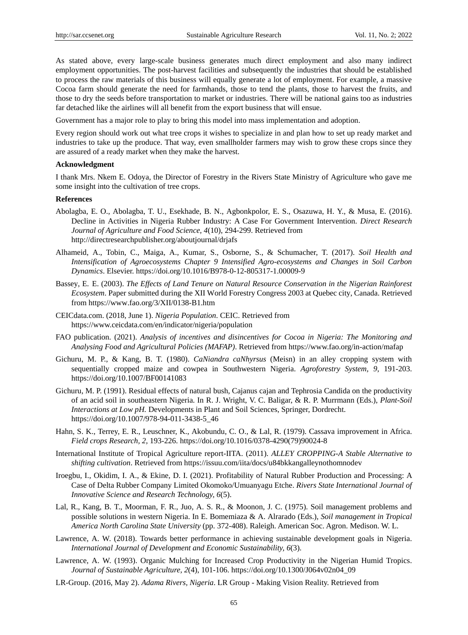As stated above, every large-scale business generates much direct employment and also many indirect employment opportunities. The post-harvest facilities and subsequently the industries that should be established to process the raw materials of this business will equally generate a lot of employment. For example, a massive Cocoa farm should generate the need for farmhands, those to tend the plants, those to harvest the fruits, and those to dry the seeds before transportation to market or industries. There will be national gains too as industries far detached like the airlines will all benefit from the export business that will ensue.

Government has a major role to play to bring this model into mass implementation and adoption.

Every region should work out what tree crops it wishes to specialize in and plan how to set up ready market and industries to take up the produce. That way, even smallholder farmers may wish to grow these crops since they are assured of a ready market when they make the harvest.

## **Acknowledgment**

I thank Mrs. Nkem E. Odoya, the Director of Forestry in the Rivers State Ministry of Agriculture who gave me some insight into the cultivation of tree crops.

#### **References**

- Abolagba, E. O., Abolagba, T. U., Esekhade, B. N., Agbonkpolor, E. S., Osazuwa, H. Y., & Musa, E. (2016). Decline in Activities in Nigeria Rubber Industry: A Case For Government Intervention. *Direct Research Journal of Agriculture and Food Science, 4*(10), 294-299. Retrieved from http://directresearchpublisher.org/aboutjournal/drjafs
- Alhameid, A., Tobin, C., Maiga, A., Kumar, S., Osborne, S., & Schumacher, T. (2017). *Soil Health and Intensification of Agroecosystems Chapter 9 Intensified Agro-ecosystems and Changes in Soil Carbon Dynamics*. Elsevier. https://doi.org/10.1016/B978-0-12-805317-1.00009-9
- Bassey, E. E. (2003). *The Effects of Land Tenure on Natural Resource Conservation in the Nigerian Rainforest Ecosystem*. Paper submitted during the XII World Forestry Congress 2003 at Quebec city, Canada. Retrieved from https://www.fao.org/3/XII/0138-B1.htm
- CEICdata.com. (2018, June 1). *Nigeria Population*. CEIC. Retrieved from https://www.ceicdata.com/en/indicator/nigeria/population
- FAO publication. (2021). *Analysis of incentives and disincentives for Cocoa in Nigeria: The Monitoring and Analysing Food and Agricultural Policies (MAFAP)*. Retrieved from https://www.fao.org/in-action/mafap
- Gichuru, M. P., & Kang, B. T. (1980). *CaNiandra caNhyrsus* (Meisn) in an alley cropping system with sequentially cropped maize and cowpea in Southwestern Nigeria. *Agroforestry System, 9*, 191-203. https://doi.org/10.1007/BF00141083
- Gichuru, M. P. (1991). Residual effects of natural bush, Cajanus cajan and Tephrosia Candida on the productivity of an acid soil in southeastern Nigeria. In R. J. Wright, V. C. Baligar, & R. P. Murrmann (Eds.), *Plant-Soil Interactions at Low pH.* Developments in Plant and Soil Sciences, Springer, Dordrecht. https://doi.org/10.1007/978-94-011-3438-5\_46
- Hahn, S. K., Terrey, E. R., Leuschner, K., Akobundu, C. O., & Lal, R. (1979). Cassava improvement in Africa. *Field crops Research, 2,* 193-226. https://doi.org/10.1016/0378-4290(79)90024-8
- International Institute of Tropical Agriculture report-IITA. (2011). *ALLEY CROPPING-A Stable Alternative to shifting cultivation*. Retrieved from https://issuu.com/iita/docs/u84bkkangalleynothomnodev
- Iroegbu, I., Okidim, I. A., & Ekine, D. I. (2021). Profitability of Natural Rubber Production and Processing: A Case of Delta Rubber Company Limited Okomoko/Umuanyagu Etche. *Rivers State International Journal of Innovative Science and Research Technology, 6*(5).
- Lal, R., Kang, B. T., Moorman, F. R., Juo, A. S. R., & Moonon, J. C. (1975). Soil management problems and possible solutions in western Nigeria. In E. Bomemiaza & A. Alrarado (Eds.), *Soil management in Tropical America North Carolina State University* (pp. 372-408). Raleigh. American Soc. Agron. Medison. W. L.
- Lawrence, A. W. (2018). Towards better performance in achieving sustainable development goals in Nigeria. *International Journal of Development and Economic Sustainability, 6*(3).
- Lawrence, A. W. (1993). Organic Mulching for Increased Crop Productivity in the Nigerian Humid Tropics. *Journal of Sustainable Agriculture, 2*(4), 101-106. https://doi.org/10.1300/J064v02n04\_09
- LR-Group. (2016, May 2). *Adama Rivers, Nigeria*. LR Group Making Vision Reality. Retrieved from